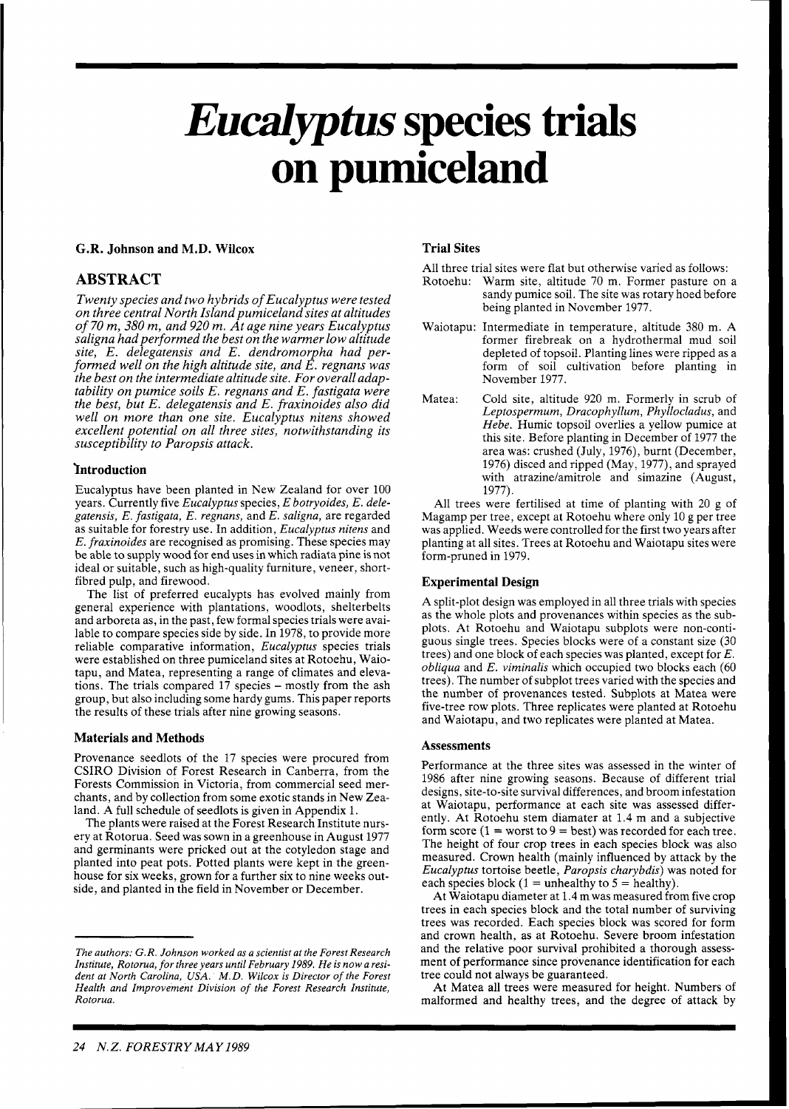# *Eudptus* **species trials on pumiceland**

#### **G.R. Johnson and M.D. Wilcox**

#### **ABSTRACT**

*Twenty species and two hybrids of Eucalyptus were tested on three central North Island pumiceland sites at altitudes of 70 m, 380 m, and 920 m. At age nine years Eucalyptus saligna had performed the best on the warmer low altitude site, E. delegatensis and E. dendromorpha had performed well on the high altitude site, and E. regnans was the best on the intermediate altitude site. For overall adaptability on pumice soils E. regnans and E. fastigata were the best, but E. delegatensis and E. fraxinoides also did well on more than one site. Eucalyptus nitens showed excellent potential on all three sites, notwithstanding its susceptibility to Paropsis attack.* 

#### **'Introduction**

Eucalyptus have been planted in New Zealand for over 100 years. Currently five *Eucalyptus* species, *E botryoides, E. delegatensis, E. fastigata, E. regnans,* and *E. saligna,* are regarded as suitable for forestry use. In addition, *Eucalyptus nitens* and *E. fraxinoides* are recognised as promising. These species may be able to supply wood for end uses in which radiata pine is not ideal or suitable, such as high-quality furniture, veneer, shortfibred pulp, and firewood.

The list of preferred eucalypts has evolved mainly from general experience with plantations, woodlots, shelterbelts and arboreta as, in the past, few formal species trials were available to compare species side by side. In 1978, to provide more reliable comparative information, *Eucalyptus* species trials were established on three pumiceland sites at Rotoehu, Waiotapu, and Matea, representing a range of climates and elevations. The trials compared 17 species - mostly from the ash group, but also including some hardy gums. This paper reports the results of these trials after nine growing seasons.

#### **Materials and Methods**

Provenance seedlots of the 17 species were procured from CSIRO Division of Forest Research in Canberra, from the Forests Commission in Victoria, from commercial seed merchants, and by collection from some exotic stands in New Zealand. A full schedule of seedlots is given in Appendix l.

The plants were raised at the Forest Research Institute nursery at Rotorua. Seed was sown in a greenhouse in August 1977 and germinants were pricked out at the cotyledon stage and planted into peat pots. Potted plants were kept in the greenhouse for six weeks, grown for a further six to nine weeks outside, and planted in the field in November or December.

#### **Trial Sites**

All three trial sites were flat but otherwise varied as follows:

- Rotoehu: Warm site, altitude 70 m. Former pasture on a sandy pumice soil. The site was rotary hoed before being planted in November 1977.
- Waiotapu: Intermediate in temperature, altitude 380 m. A former firebreak on a hydrothermal mud soil depleted of topsoi!. Planting lines were ripped as a form of soil cultivation before planting in November 1977.
- Matea: Cold site, altitude 920 m. Formerly in scrub of *Leptospermum, Dracophyllum, Phyllocladus,* and *Hebe.* Humic topsoil overlies a yellow pumice at this site. Before planting in December of 1977 the area was: crushed (July, 1976), burnt (December, 1976) disced and ripped (May, 1977), and sprayed with atrazine/amitrole and simazine (August, 1977).

All trees were fertilised at time of planting with 20 g of Magamp per tree, except at Rotoehu where only 10 g per tree was applied. Weeds were controlled for the first two years after planting at all sites. Trees at Rotoehu and Waiotapu sites were form-pruned in 1979.

#### **Experimental Design**

A split-plot design was employed in all three trials with species as the whole plots and provenances within species as the subplots. At Rotoehu and Waiotapu subplots were non-contiguous single trees. Species blocks were of a constant size (30 trees) and one block of each species was planted, except for *E. obliqua* and *E. viminalis* which occupied two blocks each (60 trees). The number of subplot trees varied with the species and the number of provenances tested. Subplots at Matea were five-tree row plots. Three replicates were planted at Rotoehu and Waiotapu, and two replicates were planted at Matea.

#### **Assessments**

Performance at the three sites was assessed in the winter of 1986 after nine growing seasons. Because of different trial designs, site-to-site survival differences, and broom infestation at Waiotapu, performance at each site was assessed differently. At Rotoehu stem diamater at 1.4 m and a subjective form score  $(1 = \text{worst to } 9 = \text{best})$  was recorded for each tree. The height of four crop trees in each species block was also measured. Crown health (mainly influenced by attack by the *Eucalyptus* tortoise beetle, *Paropsis charybdis)* was noted for each species block (1 = unhealthy to  $5$  = healthy).

At Waiotapu diameter at 1.4 m was measured from five crop trees in each species block and the total number of surviving trees was recorded. Each species block was scored for form and crown health, as at Rotoehu. Severe broom infestation and the relative poor survival prohibited a thorough assessment of performance since provenance identification for each tree could not always be guaranteed.

At Matea all trees were measured for height. Numbers of malformed and healthy trees, and the degree of attack by

*The authors: G. R. Johnson worked as a scientist at the Forest Research Institute, Rotorua, for three years until February 1989. He is now a resident at North Carolina, USA. M. D. Wilcox is Director of the Forest Health and Improvement Division of the Forest Research Institute, Rotorua.*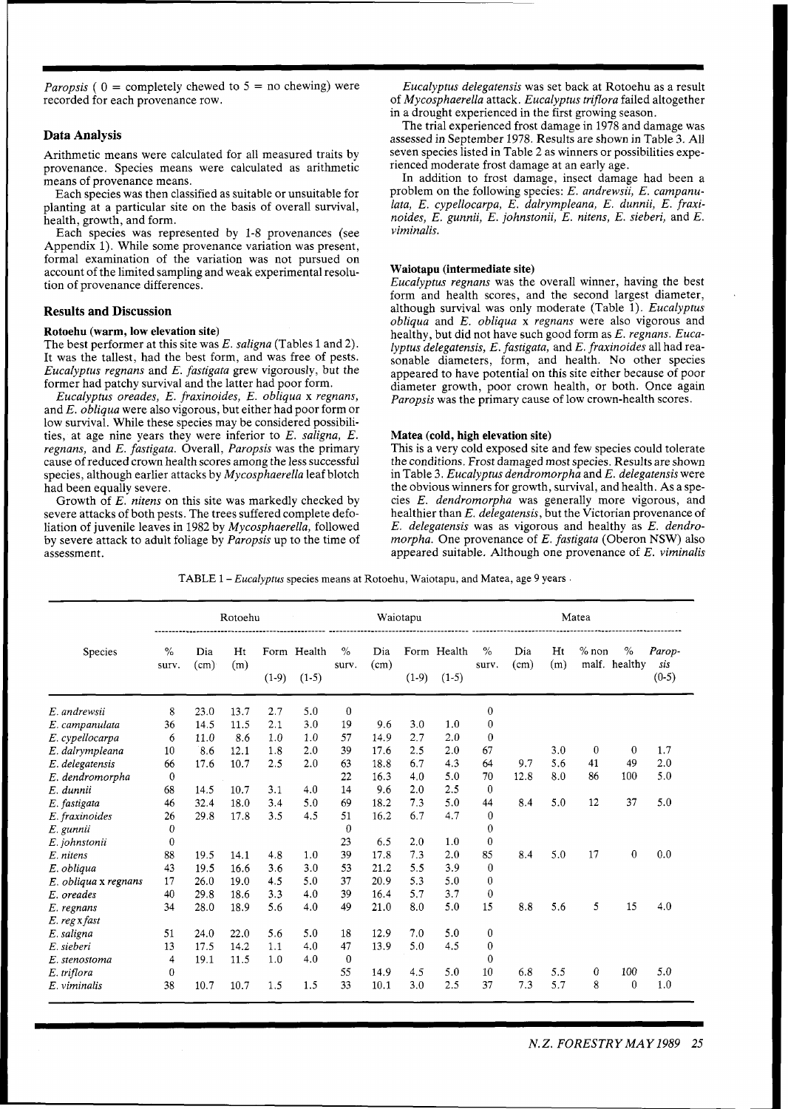*Paropsis* (  $0 =$  completely chewed to  $5 =$  no chewing) were recorded for each provenance row.

#### **Data Analysis**

Arithmetic means were calculated for all measured traits by provenance. Species means were calculated as arithmetic means of provenance means.

Each species was then classified as suitable or unsuitable for planting at a particular site on the basis of overall survival, health, growth, and form.

Each species was represented by 1-8 provenances (see Appendix 1). While some provenance variation was present, formal examination of the variation was not pursued on account of the limited sampling and weak experimental resolution of provenance differences.

#### **Results and Discussion**

#### **Rotoehu (warm, low elevation site)**

The best performer at this site was E. *saligna* (Tables 1 and 2). It was the tallest, had the best form, and was free of pests. *Eucalyptus regnans* and *E. fastigata* grew vigorously, but the former had patchy survival and the latter had poor form.

*Eucalyptus oreades, E. fraxinoides, E. obliqua* x *regnans,*  and *E. obliqua* were also vigorous, but either had poor form or low survival. While these species may be considered possibilities, at age nine years they were inferior to E. *saligna, E. regnans,* and *E. fastigata.* Overall, *Paropsis* was the primary cause of reduced crown health scores among the less successful species, although earlier attacks by *Mycosphaerella* leaf blotch had been equally severe.

Growth of *E, nitens* on this site was markedly checked by severe attacks of both pests. The trees suffered complete defoliation of juvenile leaves in 1982 by *Mycosphaerella,* followed by severe attack to adult foliage by *Paropsis* up to the time of assessment.

*Eucalyptus delegatensis* was set back at Rotoehu as a result of *Mycosphaerella* attack. *Eucalyptus triflora* failed altogether in a drought experienced in the first growing season.

The trial experienced frost damage in 1978 and damage was assessed in September 1978. Results are shown in Table 3. A11 seven species listed in Table 2 as winners or possibilities experienced moderate frost damage at an early age.

In addition to frost damage, insect damage had been a problem on the following species: E. *andrewsii,* E. *campanulata, E. cypellocarpa, E. dalrympleana, E. dunnii, E. fraxinoides, E. gunnii, E. johnstonii, E. nitens, E. sieberi,* and *E. viminalis.* 

#### **Waiotapu (intermediate site)**

*Eucalyptus regnans* was the overall winner, having the best form and health scores, and the second largest diameter, although survival was only moderate (Table 1). *Eucalyptus obliqua* and *E. obliqua* x *regnans* were also vigorous and healthy, but did not have such good form as E. *regnans. Eucalyptus delegatensis, E. fastigata,* and *E. fraxinoides* all had reasonable diameters, form, and health. No other species appeared to have potential on this site either because of poor diameter growth, poor crown health, or both. Once again *Paropsis* was the primary cause of low crown-health scores.

#### **Matea (cold, high elevation site)**

This is a very cold exposed site and few species could tolerate the conditions. Frost damaged most species. Results are shown in Table 3. *Eucalyptus dendromorpha* and *E. delegatensis* were the obvious winners for growth, survival, and health. As a species E. *dendromorpha* was generally more vigorous, and healthier than *E. delegatensis,* but the Victorian provenance of *E. delegatensis* was as vigorous and healthy as *E. dendromorpha.* One provenance of *E. fastigata* (Oberon NSW) also appeared suitable. Although one provenance of *E. viminalis* 

TABLE 1 *-Eucalyptus* species means at Rotoehu, Waiotapu, and Matea, age 9 years

|                      | Rotoehu                |             |           |         |                        | Waiotapu      |             |         |                        |                  | Matea       |           |         |                    |                          |
|----------------------|------------------------|-------------|-----------|---------|------------------------|---------------|-------------|---------|------------------------|------------------|-------------|-----------|---------|--------------------|--------------------------|
| Species              | $\frac{0}{0}$<br>surv. | Dia<br>(cm) | Ht<br>(m) | $(1-9)$ | Form Health<br>$(1-5)$ | $\%$<br>surv. | Dia<br>(cm) | $(1-9)$ | Form Health<br>$(1-5)$ | $\%$<br>surv.    | Dia<br>(cm) | Ht<br>(m) | $%$ non | %<br>malf. healthy | Parop-<br>sis<br>$(0-5)$ |
| E. andrewsii         | 8                      | 23.0        | 13.7      | 2.7     | 5.0                    | $\bf{0}$      |             |         |                        | 0                |             |           |         |                    |                          |
| E. campanulata       | 36                     | 14.5        | 11.5      | 2.1     | 3.0                    | 19            | 9.6         | 3.0     | 1.0                    | 0                |             |           |         |                    |                          |
| E. cypellocarpa      | 6                      | 11.0        | 8.6       | 1.0     | 1.0                    | 57            | 14.9        | 2.7     | 2.0                    | 0                |             |           |         |                    |                          |
| E. dalrympleana      | 10                     | 8.6         | 12.1      | 1.8     | 2.0                    | 39            | 17.6        | 2.5     | 2.0                    | 67               |             | 3.0       | 0       | $\mathbf{0}$       | 1.7                      |
| E. delegatensis      | 66                     | 17.6        | 10.7      | 2.5     | 2.0                    | 63            | 18.8        | 6.7     | 4.3                    | 64               | 9.7         | 5.6       | 41      | 49                 | 2.0                      |
| E. dendromorpha      | $\bf{0}$               |             |           |         |                        | 22            | 16.3        | 4.0     | 5.0                    | 70               | 12.8        | 8.0       | 86      | 100                | 5.0                      |
| E. dunnii            | 68                     | 14.5        | 10.7      | 3.1     | 4.0                    | 14            | 9.6         | 2.0     | 2.5                    | $\theta$         |             |           |         |                    |                          |
| E. fastigata         | 46                     | 32.4        | 18.0      | 3.4     | 5.0                    | 69            | 18.2        | 7.3     | 5.0                    | 44               | 8.4         | 5.0       | 12      | 37                 | 5.0                      |
| E. fraxinoides       | 26                     | 29.8        | 17.8      | 3.5     | 4.5                    | 51            | 16.2        | 6.7     | 4.7                    | $\mathbf{0}$     |             |           |         |                    |                          |
| E. gunnii            | $\theta$               |             |           |         |                        | $\Omega$      |             |         |                        | $\Omega$         |             |           |         |                    |                          |
| E. johnstonii        | 0                      |             |           |         |                        | 23            | 6.5         | 2.0     | 1.0                    | 0                |             |           |         |                    |                          |
| E. nitens            | 88                     | 19.5        | 14.1      | 4.8     | 1.0                    | 39            | 17.8        | 7.3     | 2.0                    | 85               | 8.4         | 5.0       | 17      | $\bf{0}$           | 0.0                      |
| E. obliaua           | 43                     | 19.5        | 16.6      | 3.6     | 3.0                    | 53            | 21.2        | 5.5     | 3.9                    | $\Omega$         |             |           |         |                    |                          |
| E. obliqua x regnans | 17                     | 26.0        | 19.0      | 4.5     | 5.0                    | 37            | 20.9        | 5.3     | 5.0                    | 0                |             |           |         |                    |                          |
| E. oreades           | 40                     | 29.8        | 18.6      | 3.3     | 4.0                    | 39            | 16.4        | 5.7     | 3.7                    | $\mathbf 0$      |             |           |         |                    |                          |
| E. regnans           | 34                     | 28.0        | 18.9      | 5.6     | 4.0                    | 49            | 21.0        | 8.0     | 5.0                    | 15               | 8.8         | 5.6       | 5       | 15                 | 4.0                      |
| E. reg x fast        |                        |             |           |         |                        |               |             |         |                        |                  |             |           |         |                    |                          |
| E. saligna           | 51                     | 24.0        | 22.0      | 5.6     | 5.0                    | 18            | 12.9        | 7.0     | 5.0                    | 0                |             |           |         |                    |                          |
| E. sieberi           | 13                     | 17.5        | 14.2      | 1.1     | 4.0                    | 47            | 13.9        | 5.0     | 4.5                    | $\boldsymbol{0}$ |             |           |         |                    |                          |
| E. stenostoma        | 4                      | 19.1        | 11.5      | 1.0     | 4.0                    | $\mathbf 0$   |             |         |                        | 0                |             |           |         |                    |                          |
| E. triflora          | $\bf{0}$               |             |           |         |                        | 55            | 14.9        | 4.5     | 5.0                    | 10               | 6.8         | 5.5       | 0       | 100                | 5.0                      |
| E. viminalis         | 38                     | 10.7        | 10.7      | 1.5     | 1.5                    | 33            | 10.1        | 3.0     | 2.5                    | 37               | 7.3         | 5.7       | 8       | 0                  | 1.0                      |

*N.Z. FORESTRY MAY* 1989 *25*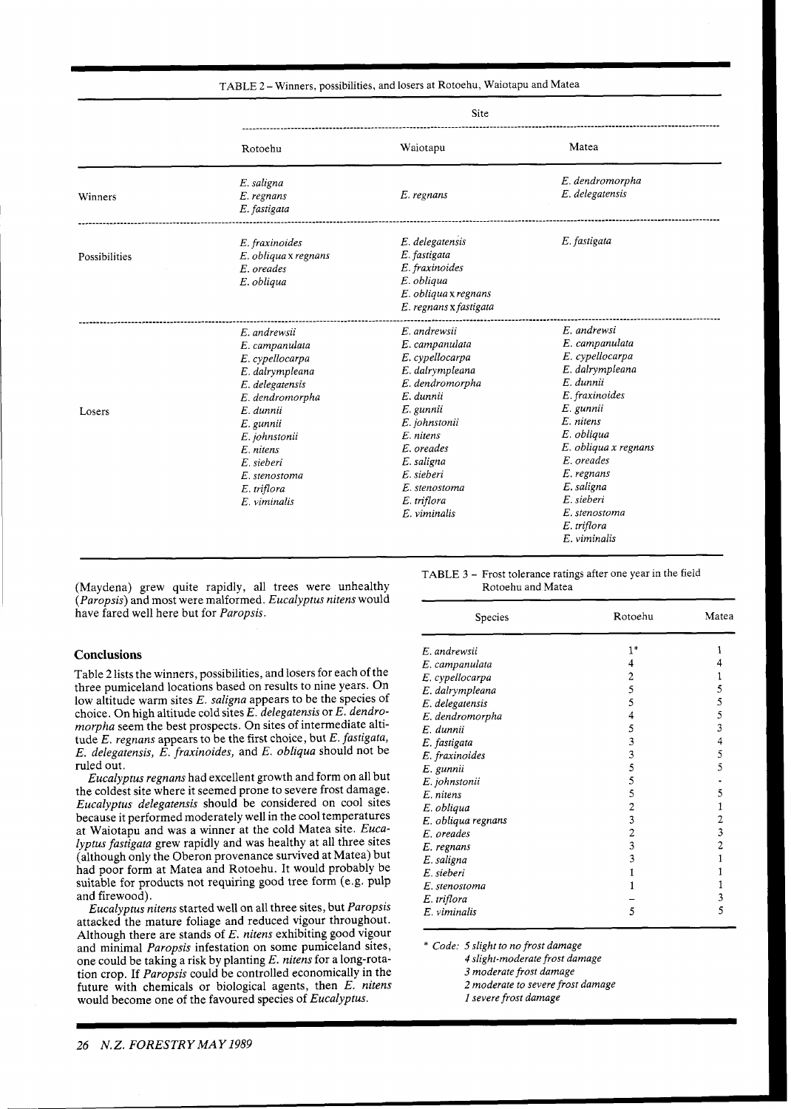| TABLE 2 – Winners, possibilities, and losers at Rotoehu, Waiotapu and Matea |  |  |
|-----------------------------------------------------------------------------|--|--|
|-----------------------------------------------------------------------------|--|--|

|               | Site                                                                                                                                                                                                                               |                                                                                                                                                                                                                                           |                                                                                                                                                                                                                                             |  |  |
|---------------|------------------------------------------------------------------------------------------------------------------------------------------------------------------------------------------------------------------------------------|-------------------------------------------------------------------------------------------------------------------------------------------------------------------------------------------------------------------------------------------|---------------------------------------------------------------------------------------------------------------------------------------------------------------------------------------------------------------------------------------------|--|--|
|               | Rotoehu                                                                                                                                                                                                                            | Waiotapu                                                                                                                                                                                                                                  | Matea                                                                                                                                                                                                                                       |  |  |
| Winners       | E. saligna<br>E. regnans<br>E. fastigata                                                                                                                                                                                           | E. regnans                                                                                                                                                                                                                                | E. dendromorpha<br>E. delegatensis                                                                                                                                                                                                          |  |  |
| Possibilities | E. fraxinoides<br>E. obliqua x regnans<br>E. oreades<br>E. obliqua                                                                                                                                                                 | E. delegatensis<br>E. fastigata<br>E. fraxinoides<br>E. obliqua<br>$E.$ obliqua x regnans<br>E. regnans x fastigata                                                                                                                       | E. fastigata                                                                                                                                                                                                                                |  |  |
| Losers        | E. andrewsii<br>E. campanulata<br>E. cypellocarpa<br>E. dalrympleana<br>E. delegatensis<br>E. dendromorpha<br>E. dunnii<br>E. gunnii<br>E. johnstonii<br>E. nitens<br>E. sieberi<br>E. stenostoma<br>E. triflora<br>$E.$ viminalis | E. andrewsii<br>E. campanulata<br>E. cypellocarpa<br>E. dalrympleana<br>E. dendromorpha<br>E. dunnii<br>E. gunnii<br>E. johnstonii<br>E. nitens<br>E. oreades<br>E. saligna<br>E. sieberi<br>E. stenostoma<br>E. triflora<br>E. viminalis | E. andrewsi<br>E. campanulata<br>E. cypellocarpa<br>E. dalrympleana<br>E. dunnii<br>E. fraxinoides<br>E. gunnii<br>E. nitens<br>E. obliqua<br>E. obliqua x regnans<br>E. oreades<br>E. regnans<br>E. saligna<br>E. sieberi<br>E. stenostoma |  |  |
|               |                                                                                                                                                                                                                                    |                                                                                                                                                                                                                                           | E. triflora<br>E. viminalis                                                                                                                                                                                                                 |  |  |

(Maydena) grew quite rapidly, all trees were unhealthy *(Paropsis)* and most were malformed. *Eucalyptus nitens* would have fared well here but for *Paropsis.* 

#### **Conclusions**

Table 2 lists the winners, possibilities, and losers for each of the three pumiceland locations based on results to nine years. On low altitude warm sites *E. saligna* appears to be the species of choice. On high altitude cold sites *E. delegatensis* or *E. dendromorpha* seem the best prospects. On sites of intermediate altitude *E. regnans* appears to be the first choice, but *E. fastigata, E. delegatensis, E, fraxinoides,* and *E. obliqua* should not be ruled out.

*Eucalyptus regnans* had excellent growth and form on all but the coldest site where it seemed prone to severe frost damage. *Eucalyptus delegatensis* should be considered on cool sites because it performed moderately well in the cool temperatures at Waiotapu and was a winner at the cold Matea site. *Eucalyptus fastigata* grew rapidly and was healthy at all three sites (although only the Oberon provenance survived at Matea) but had poor form at Matea and Rotoehu. It would probably be suitable for products not requiring good tree form (e.g, pulp and firewood).

*Eucalyptus nitens* started well on all three sites, but *Paropsis*  attacked the mature foliage and reduced vigour throughout. Although there are stands of *E. nitens* exhibiting good vigour and minimal *Paropsis* infestation on some pumiceland sites, one could be taking a risk by planting *E. nitens* for a long-rotation crop. If *Paropsis* could be controlled economically in the future with chemicals or biological agents, then *E, nitens*  would become one of the favoured species of *Eucalyptus.* 

~ -

TABLE 3 - Frost tolerance ratings after one year in the field Rotoehu and Matea

| Species            | Rotochu | Matea |  |
|--------------------|---------|-------|--|
| E. andrewsii       | $1*$    | 1     |  |
| E. campanulata     | 4       | 4     |  |
| E. cypellocarpa    | 2       | 1     |  |
| E. dalrympleana    | 5       | 5     |  |
| E. delegatensis    | 5       | 5     |  |
| E. dendromorpha    | 4       | 5     |  |
| E. dunnii          | 5       | 3     |  |
| E. fastigata       | 3       | 4     |  |
| E. fraxinoides     | 3       | 5     |  |
| E. gunnii          | 5       | 5     |  |
| E. johnstonii      | 5       |       |  |
| E. nitens          | 5       | 5     |  |
| E. obliqua         | 2       | 1     |  |
| E. obliqua regnans | 3       | 2     |  |
| E. oreades         | 2       | 3     |  |
| E. regnans         | 3       | 2     |  |
| E. saligna         | 3       |       |  |
| E. sieberi         | 1       |       |  |
| E. stenostoma      | 1       |       |  |
| E. triflora        |         | 3     |  |
| E. viminalis       | 5       | 5     |  |

\* *Code: 5 slight to no frost damage* 

*4 slight-moderate frost damage* 

*3 moderate frost damage* 

*2 moderate to severe frost damage* 

*I severe frost damage*